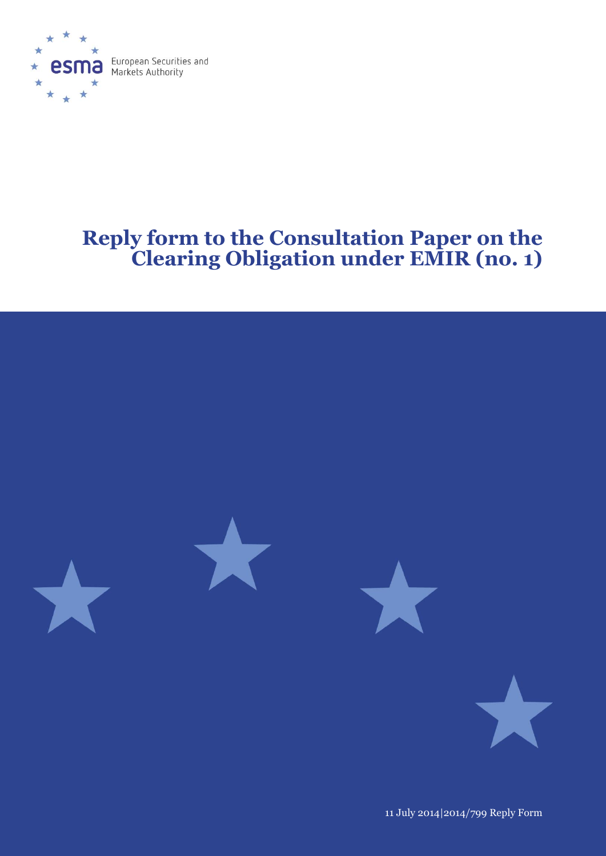

# **Reply form to the Consultation Paper on the Clearing Obligation under EMIR (no. 1)**



11 July 2014|2014/799 Reply Form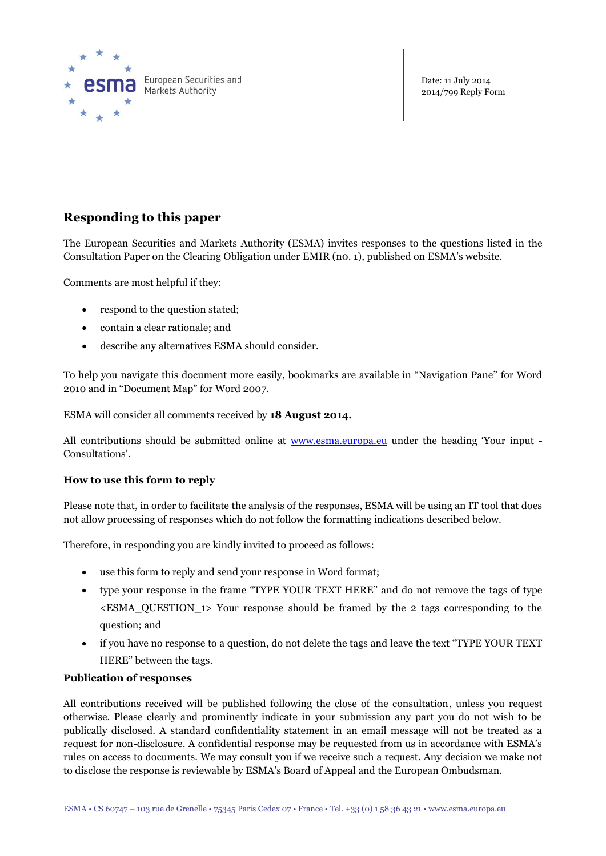

Date: 11 July 2014 2014/799 Reply Form

# **Responding to this paper**

The European Securities and Markets Authority (ESMA) invites responses to the questions listed in the Consultation Paper on the Clearing Obligation under EMIR (n0. 1), published on ESMA's website.

Comments are most helpful if they:

- respond to the question stated;
- contain a clear rationale; and
- describe any alternatives ESMA should consider.

To help you navigate this document more easily, bookmarks are available in "Navigation Pane" for Word 2010 and in "Document Map" for Word 2007.

ESMA will consider all comments received by **18 August 2014.** 

All contributions should be submitted online at <u>[www.esma.europa.eu](http://www.esma.europa.eu/)</u> under the heading 'Your input -Consultations'.

# **How to use this form to reply**

Please note that, in order to facilitate the analysis of the responses, ESMA will be using an IT tool that does not allow processing of responses which do not follow the formatting indications described below.

Therefore, in responding you are kindly invited to proceed as follows:

- use this form to reply and send your response in Word format;
- type your response in the frame "TYPE YOUR TEXT HERE" and do not remove the tags of type  $\epsilon$ ESMA\_QUESTION\_1> Your response should be framed by the 2 tags corresponding to the question; and
- if you have no response to a question, do not delete the tags and leave the text "TYPE YOUR TEXT HERE" between the tags.

# **Publication of responses**

All contributions received will be published following the close of the consultation, unless you request otherwise. Please clearly and prominently indicate in your submission any part you do not wish to be publically disclosed. A standard confidentiality statement in an email message will not be treated as a request for non-disclosure. A confidential response may be requested from us in accordance with ESMA's rules on access to documents. We may consult you if we receive such a request. Any decision we make not to disclose the response is reviewable by ESMA's Board of Appeal and the European Ombudsman.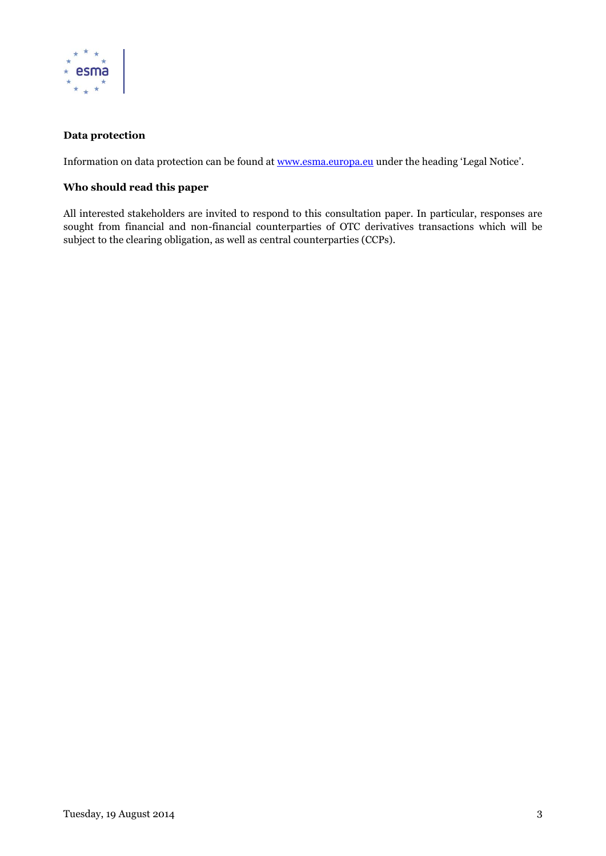

# **Data protection**

Information on data protection can be found at [www.esma.europa.eu](http://www.esma.europa.eu/) under the heading 'Legal Notice'.

# **Who should read this paper**

All interested stakeholders are invited to respond to this consultation paper. In particular, responses are sought from financial and non-financial counterparties of OTC derivatives transactions which will be subject to the clearing obligation, as well as central counterparties (CCPs).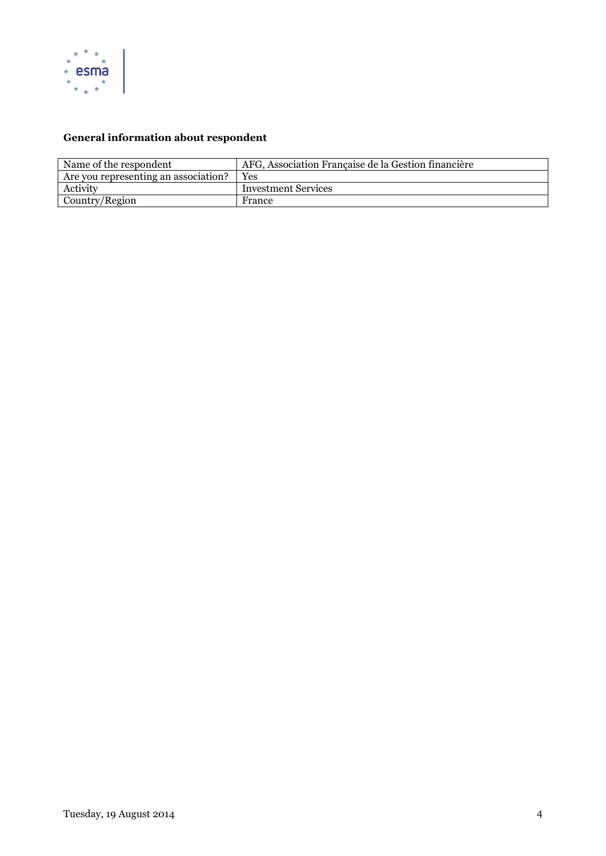

# **General information about respondent**

| Name of the respondent               | AFG, Association Française de la Gestion financière |
|--------------------------------------|-----------------------------------------------------|
| Are you representing an association? | Yes                                                 |
| Activity                             | <b>Investment Services</b>                          |
| Country/Region                       | France                                              |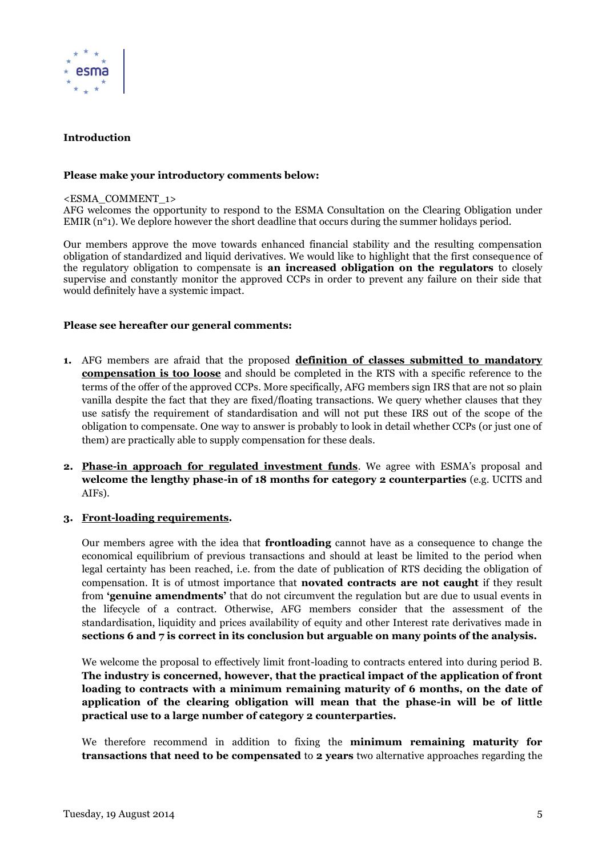

#### **Introduction**

#### **Please make your introductory comments below:**

<ESMA\_COMMENT\_1>

AFG welcomes the opportunity to respond to the ESMA Consultation on the Clearing Obligation under EMIR (n<sup>o</sup>1). We deplore however the short deadline that occurs during the summer holidays period.

Our members approve the move towards enhanced financial stability and the resulting compensation obligation of standardized and liquid derivatives. We would like to highlight that the first consequence of the regulatory obligation to compensate is **an increased obligation on the regulators** to closely supervise and constantly monitor the approved CCPs in order to prevent any failure on their side that would definitely have a systemic impact.

#### **Please see hereafter our general comments:**

- **1.** AFG members are afraid that the proposed **definition of classes submitted to mandatory compensation is too loose** and should be completed in the RTS with a specific reference to the terms of the offer of the approved CCPs. More specifically, AFG members sign IRS that are not so plain vanilla despite the fact that they are fixed/floating transactions. We query whether clauses that they use satisfy the requirement of standardisation and will not put these IRS out of the scope of the obligation to compensate. One way to answer is probably to look in detail whether CCPs (or just one of them) are practically able to supply compensation for these deals.
- **2. Phase-in approach for regulated investment funds**. We agree with ESMA's proposal and **welcome the lengthy phase-in of 18 months for category 2 counterparties** (e.g. UCITS and AIFs).

#### **3. Front-loading requirements.**

Our members agree with the idea that **frontloading** cannot have as a consequence to change the economical equilibrium of previous transactions and should at least be limited to the period when legal certainty has been reached, i.e. from the date of publication of RTS deciding the obligation of compensation. It is of utmost importance that **novated contracts are not caught** if they result from **'genuine amendments'** that do not circumvent the regulation but are due to usual events in the lifecycle of a contract. Otherwise, AFG members consider that the assessment of the standardisation, liquidity and prices availability of equity and other Interest rate derivatives made in **sections 6 and 7 is correct in its conclusion but arguable on many points of the analysis.**

We welcome the proposal to effectively limit front-loading to contracts entered into during period B. **The industry is concerned, however, that the practical impact of the application of front loading to contracts with a minimum remaining maturity of 6 months, on the date of application of the clearing obligation will mean that the phase-in will be of little practical use to a large number of category 2 counterparties.** 

We therefore recommend in addition to fixing the **minimum remaining maturity for transactions that need to be compensated** to **2 years** two alternative approaches regarding the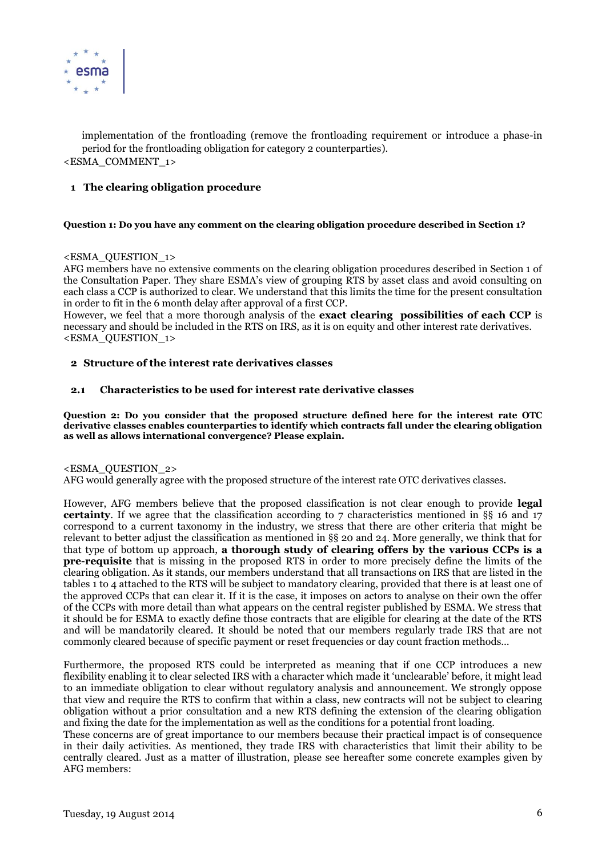

implementation of the frontloading (remove the frontloading requirement or introduce a phase-in period for the frontloading obligation for category 2 counterparties). <ESMA\_COMMENT\_1>

# **1 The clearing obligation procedure**

#### **Question 1: Do you have any comment on the clearing obligation procedure described in Section 1?**

#### <ESMA\_QUESTION\_1>

AFG members have no extensive comments on the clearing obligation procedures described in Section 1 of the Consultation Paper. They share ESMA's view of grouping RTS by asset class and avoid consulting on each class a CCP is authorized to clear. We understand that this limits the time for the present consultation in order to fit in the 6 month delay after approval of a first CCP.

However, we feel that a more thorough analysis of the **exact clearing possibilities of each CCP** is necessary and should be included in the RTS on IRS, as it is on equity and other interest rate derivatives. <ESMA\_QUESTION\_1>

#### **2 Structure of the interest rate derivatives classes**

#### **2.1 Characteristics to be used for interest rate derivative classes**

**Question 2: Do you consider that the proposed structure defined here for the interest rate OTC derivative classes enables counterparties to identify which contracts fall under the clearing obligation as well as allows international convergence? Please explain.**

#### <ESMA\_QUESTION\_2>

AFG would generally agree with the proposed structure of the interest rate OTC derivatives classes.

However, AFG members believe that the proposed classification is not clear enough to provide **legal certainty**. If we agree that the classification according to 7 characteristics mentioned in §§ 16 and 17 correspond to a current taxonomy in the industry, we stress that there are other criteria that might be relevant to better adjust the classification as mentioned in §§ 20 and 24. More generally, we think that for that type of bottom up approach, **a thorough study of clearing offers by the various CCPs is a pre-requisite** that is missing in the proposed RTS in order to more precisely define the limits of the clearing obligation. As it stands, our members understand that all transactions on IRS that are listed in the tables 1 to 4 attached to the RTS will be subject to mandatory clearing, provided that there is at least one of the approved CCPs that can clear it. If it is the case, it imposes on actors to analyse on their own the offer of the CCPs with more detail than what appears on the central register published by ESMA. We stress that it should be for ESMA to exactly define those contracts that are eligible for clearing at the date of the RTS and will be mandatorily cleared. It should be noted that our members regularly trade IRS that are not commonly cleared because of specific payment or reset frequencies or day count fraction methods…

Furthermore, the proposed RTS could be interpreted as meaning that if one CCP introduces a new flexibility enabling it to clear selected IRS with a character which made it 'unclearable' before, it might lead to an immediate obligation to clear without regulatory analysis and announcement. We strongly oppose that view and require the RTS to confirm that within a class, new contracts will not be subject to clearing obligation without a prior consultation and a new RTS defining the extension of the clearing obligation and fixing the date for the implementation as well as the conditions for a potential front loading.

These concerns are of great importance to our members because their practical impact is of consequence in their daily activities. As mentioned, they trade IRS with characteristics that limit their ability to be centrally cleared. Just as a matter of illustration, please see hereafter some concrete examples given by AFG members: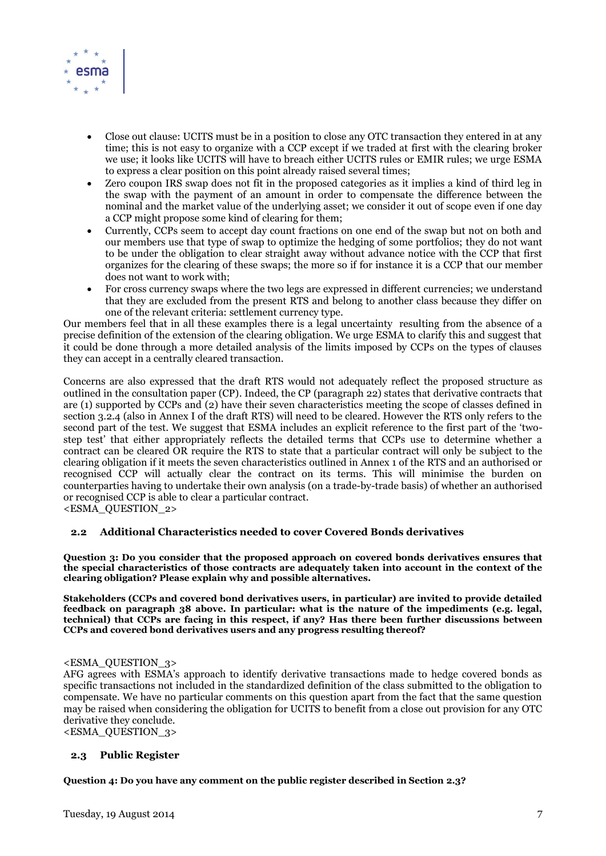

- Close out clause: UCITS must be in a position to close any OTC transaction they entered in at any time; this is not easy to organize with a CCP except if we traded at first with the clearing broker we use; it looks like UCITS will have to breach either UCITS rules or EMIR rules; we urge ESMA to express a clear position on this point already raised several times;
- Zero coupon IRS swap does not fit in the proposed categories as it implies a kind of third leg in the swap with the payment of an amount in order to compensate the difference between the nominal and the market value of the underlying asset; we consider it out of scope even if one day a CCP might propose some kind of clearing for them;
- Currently, CCPs seem to accept day count fractions on one end of the swap but not on both and our members use that type of swap to optimize the hedging of some portfolios; they do not want to be under the obligation to clear straight away without advance notice with the CCP that first organizes for the clearing of these swaps; the more so if for instance it is a CCP that our member does not want to work with;
- For cross currency swaps where the two legs are expressed in different currencies; we understand that they are excluded from the present RTS and belong to another class because they differ on one of the relevant criteria: settlement currency type.

Our members feel that in all these examples there is a legal uncertainty resulting from the absence of a precise definition of the extension of the clearing obligation. We urge ESMA to clarify this and suggest that it could be done through a more detailed analysis of the limits imposed by CCPs on the types of clauses they can accept in a centrally cleared transaction.

Concerns are also expressed that the draft RTS would not adequately reflect the proposed structure as outlined in the consultation paper (CP). Indeed, the CP (paragraph 22) states that derivative contracts that are (1) supported by CCPs and (2) have their seven characteristics meeting the scope of classes defined in section 3.2.4 (also in Annex I of the draft RTS) will need to be cleared. However the RTS only refers to the second part of the test. We suggest that ESMA includes an explicit reference to the first part of the 'twostep test' that either appropriately reflects the detailed terms that CCPs use to determine whether a contract can be cleared OR require the RTS to state that a particular contract will only be subject to the clearing obligation if it meets the seven characteristics outlined in Annex 1 of the RTS and an authorised or recognised CCP will actually clear the contract on its terms. This will minimise the burden on counterparties having to undertake their own analysis (on a trade-by-trade basis) of whether an authorised or recognised CCP is able to clear a particular contract.

<ESMA\_QUESTION\_2>

# **2.2 Additional Characteristics needed to cover Covered Bonds derivatives**

**Question 3: Do you consider that the proposed approach on covered bonds derivatives ensures that the special characteristics of those contracts are adequately taken into account in the context of the clearing obligation? Please explain why and possible alternatives.**

**Stakeholders (CCPs and covered bond derivatives users, in particular) are invited to provide detailed feedback on paragraph 38 above. In particular: what is the nature of the impediments (e.g. legal, technical) that CCPs are facing in this respect, if any? Has there been further discussions between CCPs and covered bond derivatives users and any progress resulting thereof?**

# <ESMA\_QUESTION\_3>

AFG agrees with ESMA's approach to identify derivative transactions made to hedge covered bonds as specific transactions not included in the standardized definition of the class submitted to the obligation to compensate. We have no particular comments on this question apart from the fact that the same question may be raised when considering the obligation for UCITS to benefit from a close out provision for any OTC derivative they conclude.

<ESMA\_QUESTION\_3>

# <span id="page-6-0"></span>**2.3 Public Register**

**Question 4: Do you have any comment on the public register described in Sectio[n 2.3?](#page-6-0)**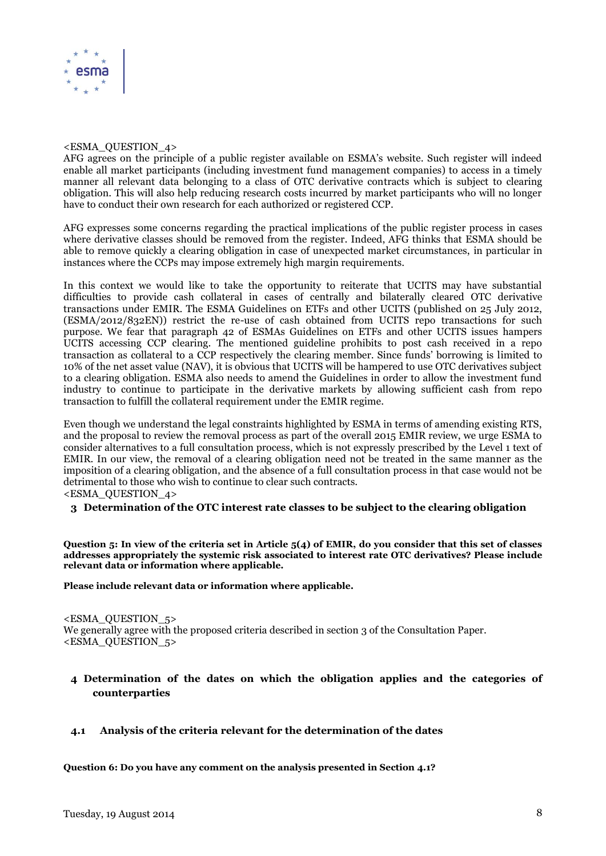

#### <ESMA\_QUESTION\_4>

AFG agrees on the principle of a public register available on ESMA's website. Such register will indeed enable all market participants (including investment fund management companies) to access in a timely manner all relevant data belonging to a class of OTC derivative contracts which is subject to clearing obligation. This will also help reducing research costs incurred by market participants who will no longer have to conduct their own research for each authorized or registered CCP.

AFG expresses some concerns regarding the practical implications of the public register process in cases where derivative classes should be removed from the register. Indeed, AFG thinks that ESMA should be able to remove quickly a clearing obligation in case of unexpected market circumstances, in particular in instances where the CCPs may impose extremely high margin requirements.

In this context we would like to take the opportunity to reiterate that UCITS may have substantial difficulties to provide cash collateral in cases of centrally and bilaterally cleared OTC derivative transactions under EMIR. The ESMA Guidelines on ETFs and other UCITS (published on 25 July 2012, (ESMA/2012/832EN)) restrict the re-use of cash obtained from UCITS repo transactions for such purpose. We fear that paragraph 42 of ESMAs Guidelines on ETFs and other UCITS issues hampers UCITS accessing CCP clearing. The mentioned guideline prohibits to post cash received in a repo transaction as collateral to a CCP respectively the clearing member. Since funds' borrowing is limited to 10% of the net asset value (NAV), it is obvious that UCITS will be hampered to use OTC derivatives subject to a clearing obligation. ESMA also needs to amend the Guidelines in order to allow the investment fund industry to continue to participate in the derivative markets by allowing sufficient cash from repo transaction to fulfill the collateral requirement under the EMIR regime.

Even though we understand the legal constraints highlighted by ESMA in terms of amending existing RTS, and the proposal to review the removal process as part of the overall 2015 EMIR review, we urge ESMA to consider alternatives to a full consultation process, which is not expressly prescribed by the Level 1 text of EMIR. In our view, the removal of a clearing obligation need not be treated in the same manner as the imposition of a clearing obligation, and the absence of a full consultation process in that case would not be detrimental to those who wish to continue to clear such contracts. <ESMA\_QUESTION\_4>

# **3 Determination of the OTC interest rate classes to be subject to the clearing obligation**

**Question 5: In view of the criteria set in Article 5(4) of EMIR, do you consider that this set of classes addresses appropriately the systemic risk associated to interest rate OTC derivatives? Please include relevant data or information where applicable.** 

**Please include relevant data or information where applicable.**

<ESMA\_QUESTION\_5> We generally agree with the proposed criteria described in section 3 of the Consultation Paper. <ESMA\_QUESTION\_5>

# **4 Determination of the dates on which the obligation applies and the categories of counterparties**

# <span id="page-7-0"></span>**4.1 Analysis of the criteria relevant for the determination of the dates**

**Question 6: Do you have any comment on the analysis presented in Section [4.1?](#page-7-0)**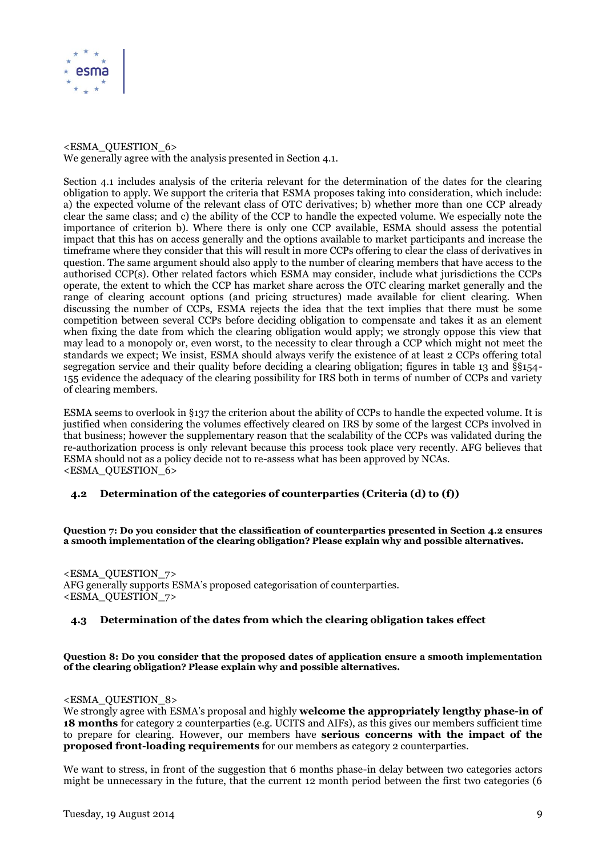

# <ESMA\_QUESTION\_6> We generally agree with the analysis presented in Section 4.1.

Section 4.1 includes analysis of the criteria relevant for the determination of the dates for the clearing obligation to apply. We support the criteria that ESMA proposes taking into consideration, which include: a) the expected volume of the relevant class of OTC derivatives; b) whether more than one CCP already clear the same class; and c) the ability of the CCP to handle the expected volume. We especially note the importance of criterion b). Where there is only one CCP available, ESMA should assess the potential impact that this has on access generally and the options available to market participants and increase the timeframe where they consider that this will result in more CCPs offering to clear the class of derivatives in question. The same argument should also apply to the number of clearing members that have access to the authorised CCP(s). Other related factors which ESMA may consider, include what jurisdictions the CCPs operate, the extent to which the CCP has market share across the OTC clearing market generally and the range of clearing account options (and pricing structures) made available for client clearing. When discussing the number of CCPs, ESMA rejects the idea that the text implies that there must be some competition between several CCPs before deciding obligation to compensate and takes it as an element when fixing the date from which the clearing obligation would apply; we strongly oppose this view that may lead to a monopoly or, even worst, to the necessity to clear through a CCP which might not meet the standards we expect; We insist, ESMA should always verify the existence of at least 2 CCPs offering total segregation service and their quality before deciding a clearing obligation; figures in table 13 and §§154-155 evidence the adequacy of the clearing possibility for IRS both in terms of number of CCPs and variety of clearing members.

ESMA seems to overlook in §137 the criterion about the ability of CCPs to handle the expected volume. It is justified when considering the volumes effectively cleared on IRS by some of the largest CCPs involved in that business; however the supplementary reason that the scalability of the CCPs was validated during the re-authorization process is only relevant because this process took place very recently. AFG believes that ESMA should not as a policy decide not to re-assess what has been approved by NCAs. <ESMA\_QUESTION\_6>

# <span id="page-8-0"></span>**4.2 Determination of the categories of counterparties (Criteria (d) to (f))**

**Question 7: Do you consider that the classification of counterparties presented in Section [4.2](#page-8-0) ensures a smooth implementation of the clearing obligation? Please explain why and possible alternatives.**

<ESMA\_QUESTION\_7> AFG generally supports ESMA's proposed categorisation of counterparties.  $\epsilon$ ESMA QUESTION  $7$ >

# **4.3 Determination of the dates from which the clearing obligation takes effect**

**Question 8: Do you consider that the proposed dates of application ensure a smooth implementation of the clearing obligation? Please explain why and possible alternatives.**

#### <ESMA\_QUESTION\_8>

We strongly agree with ESMA's proposal and highly **welcome the appropriately lengthy phase-in of 18 months** for category 2 counterparties (e.g. UCITS and AIFs), as this gives our members sufficient time to prepare for clearing. However, our members have **serious concerns with the impact of the proposed front-loading requirements** for our members as category 2 counterparties.

We want to stress, in front of the suggestion that 6 months phase-in delay between two categories actors might be unnecessary in the future, that the current 12 month period between the first two categories (6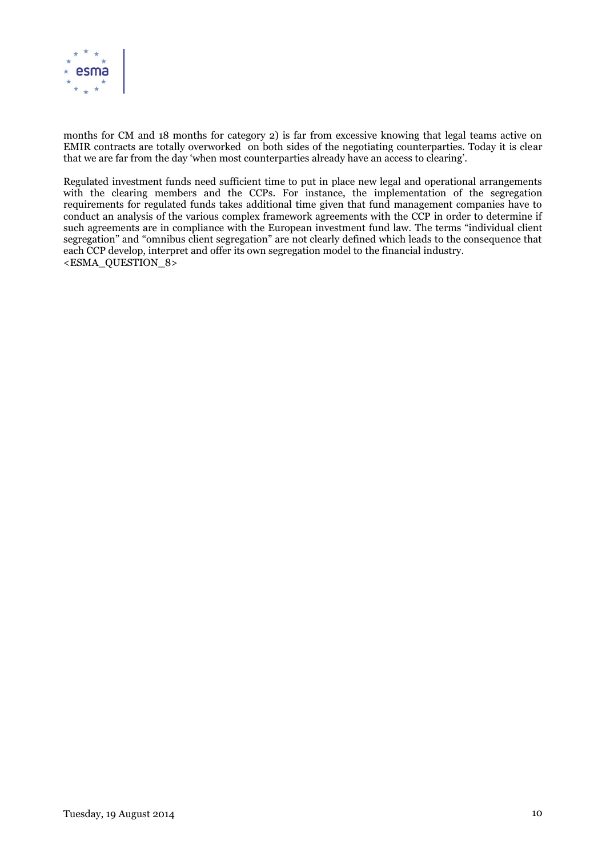

months for CM and 18 months for category 2) is far from excessive knowing that legal teams active on EMIR contracts are totally overworked on both sides of the negotiating counterparties. Today it is clear that we are far from the day 'when most counterparties already have an access to clearing'.

Regulated investment funds need sufficient time to put in place new legal and operational arrangements with the clearing members and the CCPs. For instance, the implementation of the segregation requirements for regulated funds takes additional time given that fund management companies have to conduct an analysis of the various complex framework agreements with the CCP in order to determine if such agreements are in compliance with the European investment fund law. The terms "individual client segregation" and "omnibus client segregation" are not clearly defined which leads to the consequence that each CCP develop, interpret and offer its own segregation model to the financial industry. <ESMA\_QUESTION\_8>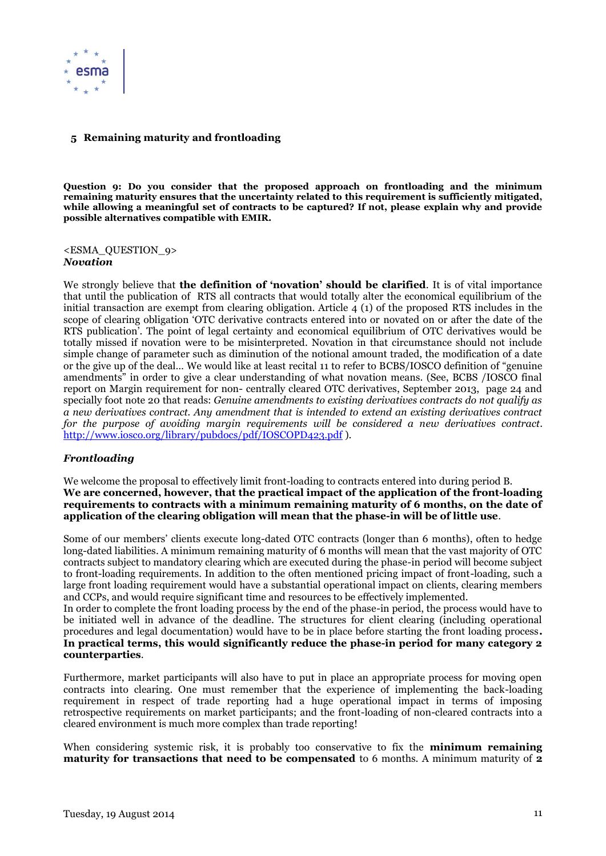

# **5 Remaining maturity and frontloading**

**Question 9: Do you consider that the proposed approach on frontloading and the minimum remaining maturity ensures that the uncertainty related to this requirement is sufficiently mitigated, while allowing a meaningful set of contracts to be captured? If not, please explain why and provide possible alternatives compatible with EMIR.**

<ESMA\_QUESTION\_9> *Novation*

We strongly believe that **the definition of 'novation' should be clarified**. It is of vital importance that until the publication of RTS all contracts that would totally alter the economical equilibrium of the initial transaction are exempt from clearing obligation. Article 4 (1) of the proposed RTS includes in the scope of clearing obligation 'OTC derivative contracts entered into or novated on or after the date of the RTS publication'. The point of legal certainty and economical equilibrium of OTC derivatives would be totally missed if novation were to be misinterpreted. Novation in that circumstance should not include simple change of parameter such as diminution of the notional amount traded, the modification of a date or the give up of the deal… We would like at least recital 11 to refer to BCBS/IOSCO definition of "genuine amendments" in order to give a clear understanding of what novation means. (See, BCBS /IOSCO final report on Margin requirement for non- centrally cleared OTC derivatives, September 2013, page 24 and specially foot note 20 that reads: *Genuine amendments to existing derivatives contracts do not qualify as a new derivatives contract. Any amendment that is intended to extend an existing derivatives contract for the purpose of avoiding margin requirements will be considered a new derivatives contract*. <http://www.iosco.org/library/pubdocs/pdf/IOSCOPD423.pdf> ).

# *Frontloading*

We welcome the proposal to effectively limit front-loading to contracts entered into during period B. **We are concerned, however, that the practical impact of the application of the front-loading requirements to contracts with a minimum remaining maturity of 6 months, on the date of application of the clearing obligation will mean that the phase-in will be of little use**.

Some of our members' clients execute long-dated OTC contracts (longer than 6 months), often to hedge long-dated liabilities. A minimum remaining maturity of 6 months will mean that the vast majority of OTC contracts subject to mandatory clearing which are executed during the phase-in period will become subject to front-loading requirements. In addition to the often mentioned pricing impact of front-loading, such a large front loading requirement would have a substantial operational impact on clients, clearing members and CCPs, and would require significant time and resources to be effectively implemented.

In order to complete the front loading process by the end of the phase-in period, the process would have to be initiated well in advance of the deadline. The structures for client clearing (including operational procedures and legal documentation) would have to be in place before starting the front loading process**. In practical terms, this would significantly reduce the phase-in period for many category 2 counterparties**.

Furthermore, market participants will also have to put in place an appropriate process for moving open contracts into clearing. One must remember that the experience of implementing the back-loading requirement in respect of trade reporting had a huge operational impact in terms of imposing retrospective requirements on market participants; and the front-loading of non-cleared contracts into a cleared environment is much more complex than trade reporting!

When considering systemic risk, it is probably too conservative to fix the **minimum remaining maturity for transactions that need to be compensated** to 6 months. A minimum maturity of **2**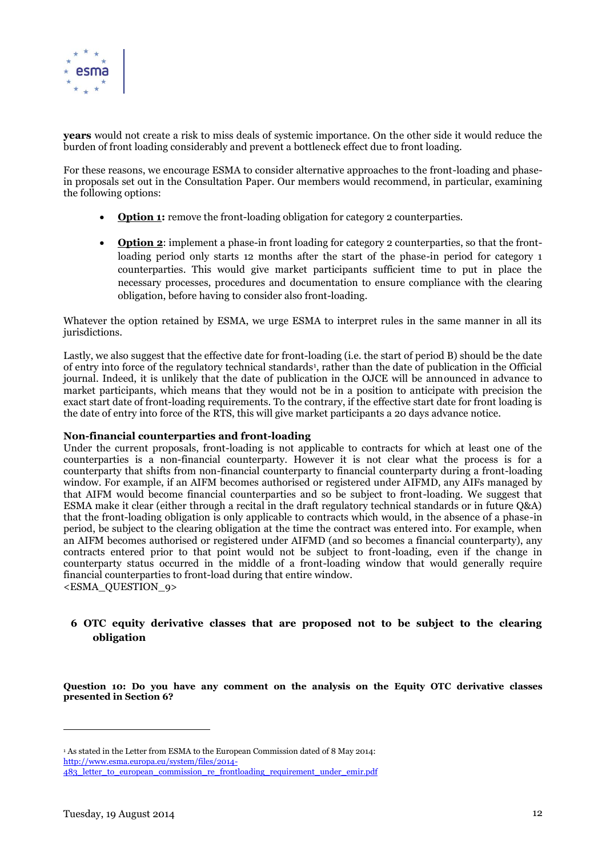

**years** would not create a risk to miss deals of systemic importance. On the other side it would reduce the burden of front loading considerably and prevent a bottleneck effect due to front loading.

For these reasons, we encourage ESMA to consider alternative approaches to the front-loading and phasein proposals set out in the Consultation Paper. Our members would recommend, in particular, examining the following options:

- Option 1: remove the front-loading obligation for category 2 counterparties.
- **Option 2:** implement a phase-in front loading for category 2 counterparties, so that the frontloading period only starts 12 months after the start of the phase-in period for category 1 counterparties. This would give market participants sufficient time to put in place the necessary processes, procedures and documentation to ensure compliance with the clearing obligation, before having to consider also front-loading.

Whatever the option retained by ESMA, we urge ESMA to interpret rules in the same manner in all its jurisdictions.

Lastly, we also suggest that the effective date for front-loading (i.e. the start of period B) should be the date of entry into force of the regulatory technical standards<sup>1</sup>, rather than the date of publication in the Official journal. Indeed, it is unlikely that the date of publication in the OJCE will be announced in advance to market participants, which means that they would not be in a position to anticipate with precision the exact start date of front-loading requirements. To the contrary, if the effective start date for front loading is the date of entry into force of the RTS, this will give market participants a 20 days advance notice.

# **Non-financial counterparties and front-loading**

Under the current proposals, front-loading is not applicable to contracts for which at least one of the counterparties is a non-financial counterparty. However it is not clear what the process is for a counterparty that shifts from non-financial counterparty to financial counterparty during a front-loading window. For example, if an AIFM becomes authorised or registered under AIFMD, any AIFs managed by that AIFM would become financial counterparties and so be subject to front-loading. We suggest that ESMA make it clear (either through a recital in the draft regulatory technical standards or in future Q&A) that the front-loading obligation is only applicable to contracts which would, in the absence of a phase-in period, be subject to the clearing obligation at the time the contract was entered into. For example, when an AIFM becomes authorised or registered under AIFMD (and so becomes a financial counterparty), any contracts entered prior to that point would not be subject to front-loading, even if the change in counterparty status occurred in the middle of a front-loading window that would generally require financial counterparties to front-load during that entire window. <ESMA\_QUESTION\_9>

# <span id="page-11-0"></span>**6 OTC equity derivative classes that are proposed not to be subject to the clearing obligation**

**Question 10: Do you have any comment on the analysis on the Equity OTC derivative classes presented in Sectio[n 6?](#page-11-0)**

 $\overline{a}$ 

<sup>1</sup> As stated in the Letter from ESMA to the European Commission dated of 8 May 2014:

[http://www.esma.europa.eu/system/files/2014-](http://www.esma.europa.eu/system/files/2014-483_letter_to_european_commission_re_frontloading_requirement_under_emir.pdf)

<sup>483</sup> letter to european commission re frontloading requirement under emir.pdf